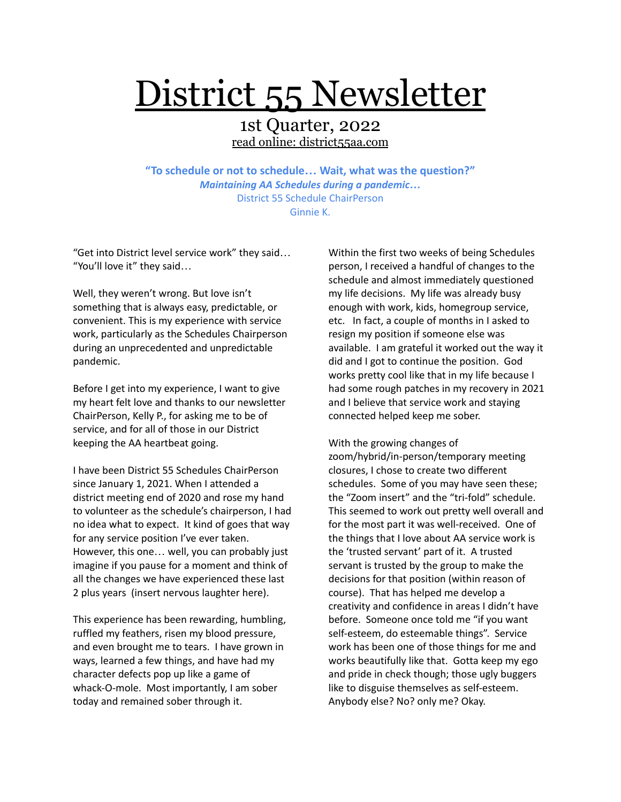# District 55 Newsletter

### 1st Quarter, 2022 read online: district55aa.com

**"To schedule or not to schedule… Wait, what was the question?"** *Maintaining AA Schedules during a pandemic…* District 55 Schedule ChairPerson Ginnie K.

"Get into District level service work" they said… "You'll love it" they said…

Well, they weren't wrong. But love isn't something that is always easy, predictable, or convenient. This is my experience with service work, particularly as the Schedules Chairperson during an unprecedented and unpredictable pandemic.

Before I get into my experience, I want to give my heart felt love and thanks to our newsletter ChairPerson, Kelly P., for asking me to be of service, and for all of those in our District keeping the AA heartbeat going.

I have been District 55 Schedules ChairPerson since January 1, 2021. When I attended a district meeting end of 2020 and rose my hand to volunteer as the schedule's chairperson, I had no idea what to expect. It kind of goes that way for any service position I've ever taken. However, this one… well, you can probably just imagine if you pause for a moment and think of all the changes we have experienced these last 2 plus years (insert nervous laughter here).

This experience has been rewarding, humbling, ruffled my feathers, risen my blood pressure, and even brought me to tears. I have grown in ways, learned a few things, and have had my character defects pop up like a game of whack-O-mole. Most importantly, I am sober today and remained sober through it.

Within the first two weeks of being Schedules person, I received a handful of changes to the schedule and almost immediately questioned my life decisions. My life was already busy enough with work, kids, homegroup service, etc. In fact, a couple of months in I asked to resign my position if someone else was available. I am grateful it worked out the way it did and I got to continue the position. God works pretty cool like that in my life because I had some rough patches in my recovery in 2021 and I believe that service work and staying connected helped keep me sober.

With the growing changes of zoom/hybrid/in-person/temporary meeting closures, I chose to create two different schedules. Some of you may have seen these; the "Zoom insert" and the "tri-fold" schedule. This seemed to work out pretty well overall and for the most part it was well-received. One of the things that I love about AA service work is the 'trusted servant' part of it. A trusted servant is trusted by the group to make the decisions for that position (within reason of course). That has helped me develop a creativity and confidence in areas I didn't have before. Someone once told me "if you want self-esteem, do esteemable things". Service work has been one of those things for me and works beautifully like that. Gotta keep my ego and pride in check though; those ugly buggers like to disguise themselves as self-esteem. Anybody else? No? only me? Okay.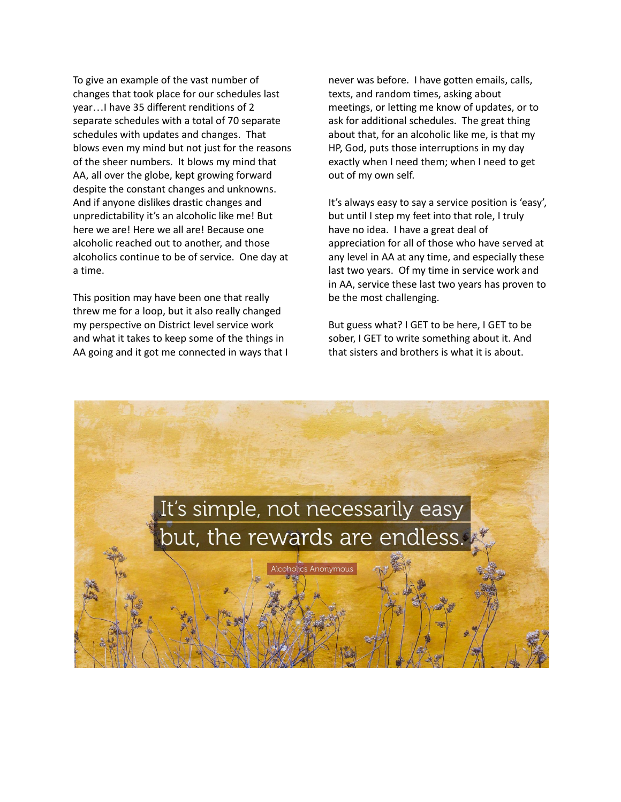To give an example of the vast number of changes that took place for our schedules last year…I have 35 different renditions of 2 separate schedules with a total of 70 separate schedules with updates and changes. That blows even my mind but not just for the reasons of the sheer numbers. It blows my mind that AA, all over the globe, kept growing forward despite the constant changes and unknowns. And if anyone dislikes drastic changes and unpredictability it's an alcoholic like me! But here we are! Here we all are! Because one alcoholic reached out to another, and those alcoholics continue to be of service. One day at a time.

This position may have been one that really threw me for a loop, but it also really changed my perspective on District level service work and what it takes to keep some of the things in AA going and it got me connected in ways that I never was before. I have gotten emails, calls, texts, and random times, asking about meetings, or letting me know of updates, or to ask for additional schedules. The great thing about that, for an alcoholic like me, is that my HP, God, puts those interruptions in my day exactly when I need them; when I need to get out of my own self.

It's always easy to say a service position is 'easy', but until I step my feet into that role, I truly have no idea. I have a great deal of appreciation for all of those who have served at any level in AA at any time, and especially these last two years. Of my time in service work and in AA, service these last two years has proven to be the most challenging.

But guess what? I GET to be here, I GET to be sober, I GET to write something about it. And that sisters and brothers is what it is about.

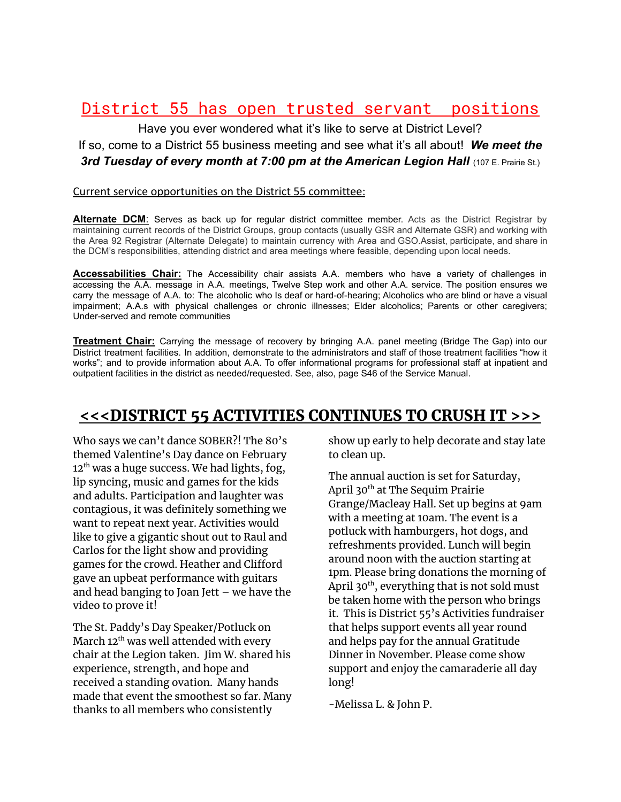## District 55 has open trusted servant positions

Have you ever wondered what it's like to serve at District Level? If so, come to a District 55 business meeting and see what it's all about! *We meet the* **3rd Tuesday of every month at 7:00 pm at the American Legion Hall** (107 E. Prairie St.)

#### Current service opportunities on the District 55 committee:

**Alternate DCM**: Serves as back up for regular district committee member. Acts as the District Registrar by maintaining current records of the District Groups, group contacts (usually GSR and Alternate GSR) and working with the Area 92 Registrar (Alternate Delegate) to maintain currency with Area and GSO.Assist, participate, and share in the DCM's responsibilities, attending district and area meetings where feasible, depending upon local needs.

**Accessabilities Chair:** The Accessibility chair assists A.A. members who have a variety of challenges in accessing the A.A. message in A.A. meetings, Twelve Step work and other A.A. service. The position ensures we carry the message of A.A. to: The alcoholic who Is deaf or hard-of-hearing; Alcoholics who are blind or have a visual impairment; A.A.s with physical challenges or chronic illnesses; Elder alcoholics; Parents or other caregivers; Under-served and remote communities

**Treatment Chair:** Carrying the message of recovery by bringing A.A. panel meeting (Bridge The Gap) into our District treatment facilities. In addition, demonstrate to the administrators and staff of those treatment facilities "how it works"; and to provide information about A.A. To offer informational programs for professional staff at inpatient and outpatient facilities in the district as needed/requested. See, also, page S46 of the Service Manual.

## <<<DISTRICT 55 ACTIVITIES CONTINUES TO CRUSH IT >>>

Who says we can't dance SOBER?! The 80's themed Valentine's Day dance on February 12 $^{\rm th}$  was a huge success. We had lights, fog, lip syncing, music and games for the kids and adults. Participation and laughter was contagious, it was definitely something we want to repeat next year. Activities would like to give a gigantic shout out to Raul and Carlos for the light show and providing games for the crowd. Heather and Clifford gave an upbeat performance with guitars and head banging to Joan Jett – we have the video to prove it!

The St. Paddy's Day Speaker/Potluck on March 12<sup>th</sup> was well attended with every chair at the Legion taken. Jim W. shared his experience, strength, and hope and received a standing ovation. Many hands made that event the smoothest so far. Many thanks to all members who consistently

show up early to help decorate and stay late to clean up.

The annual auction is set for Saturday, April 30<sup>th</sup> at The Sequim Prairie Grange/Macleay Hall. Set up begins at 9am with a meeting at 10am. The event is a potluck with hamburgers, hot dogs, and refreshments provided. Lunch will begin around noon with the auction starting at 1pm. Please bring donations the morning of April 30<sup>th</sup>, everything that is not sold must be taken home with the person who brings it. This is District 55's Activities fundraiser that helps support events all year round and helps pay for the annual Gratitude Dinner in November. Please come show support and enjoy the camaraderie all day long!

-Melissa L. & John P.